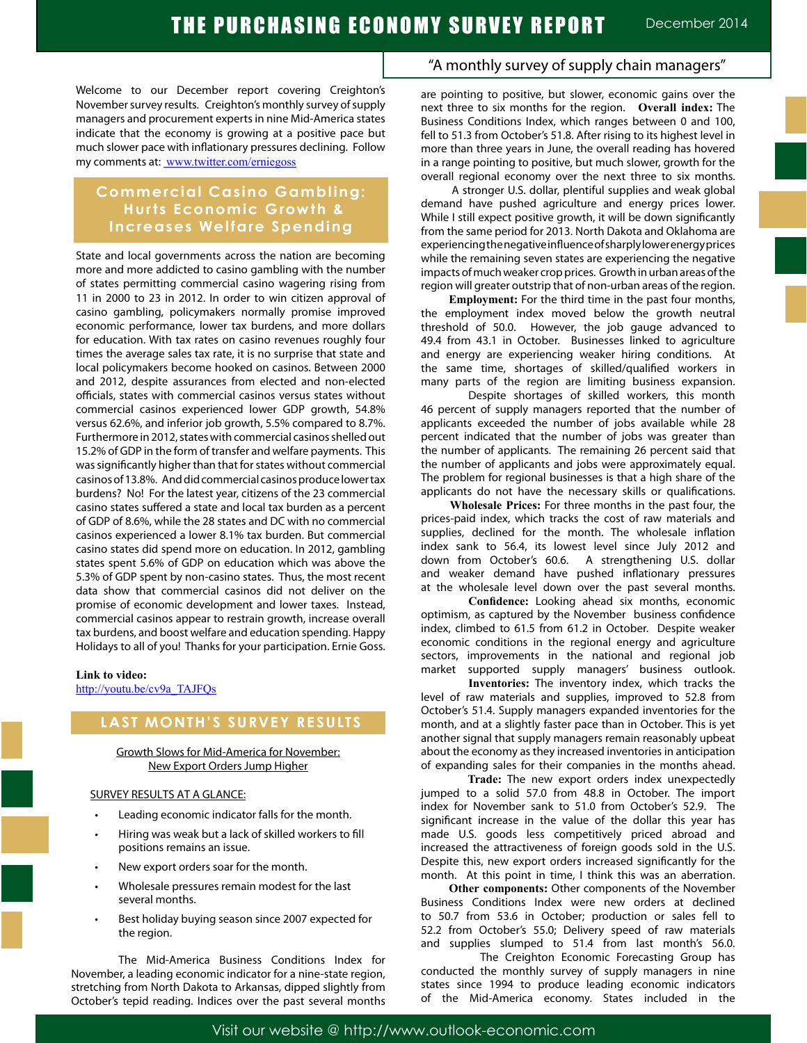Welcome to our December report covering Creighton's November survey results. Creighton's monthly survey of supply managers and procurement experts in nine Mid-America states indicate that the economy is growing at a positive pace but much slower pace with inflationary pressures declining. Follow my comments at: www.twitter.com/erniegoss

## **Commercial Casino Gambling: Hurts Economic Growth & Increases Welfare Spending**

State and local governments across the nation are becoming more and more addicted to casino gambling with the number of states permitting commercial casino wagering rising from 11 in 2000 to 23 in 2012. In order to win citizen approval of casino gambling, policymakers normally promise improved economic performance, lower tax burdens, and more dollars for education. With tax rates on casino revenues roughly four times the average sales tax rate, it is no surprise that state and local policymakers become hooked on casinos. Between 2000 and 2012, despite assurances from elected and non-elected officials, states with commercial casinos versus states without commercial casinos experienced lower GDP growth, 54.8% versus 62.6%, and inferior job growth, 5.5% compared to 8.7%. Furthermore in 2012, states with commercial casinos shelled out 15.2% of GDP in the form of transfer and welfare payments. This was significantly higher than that for states without commercial casinos of 13.8%. And did commercial casinos produce lower tax burdens? No! For the latest year, citizens of the 23 commercial casino states suffered a state and local tax burden as a percent of GDP of 8.6%, while the 28 states and DC with no commercial casinos experienced a lower 8.1% tax burden. But commercial casino states did spend more on education. In 2012, gambling states spent 5.6% of GDP on education which was above the 5.3% of GDP spent by non-casino states. Thus, the most recent data show that commercial casinos did not deliver on the promise of economic development and lower taxes. Instead, commercial casinos appear to restrain growth, increase overall tax burdens, and boost welfare and education spending. Happy Holidays to all of you! Thanks for your participation. Ernie Goss.

#### **Link to video:**

http://youtu.be/cv9a\_TAJFQs

## **LAST MONTH'S SURVEY RESULTS**

Growth Slows for Mid-America for November: New Export Orders Jump Higher

#### SURVEY RESULTS AT A GLANCE:

- Leading economic indicator falls for the month.
- Hiring was weak but a lack of skilled workers to fill positions remains an issue.
- New export orders soar for the month.
- Wholesale pressures remain modest for the last several months.
- Best holiday buying season since 2007 expected for the region.

The Mid-America Business Conditions Index for November, a leading economic indicator for a nine-state region, stretching from North Dakota to Arkansas, dipped slightly from October's tepid reading. Indices over the past several months

### "A monthly survey of supply chain managers"

are pointing to positive, but slower, economic gains over the next three to six months for the region. **Overall index:** The Business Conditions Index, which ranges between 0 and 100, fell to 51.3 from October's 51.8. After rising to its highest level in more than three years in June, the overall reading has hovered in a range pointing to positive, but much slower, growth for the overall regional economy over the next three to six months.

 A stronger U.S. dollar, plentiful supplies and weak global demand have pushed agriculture and energy prices lower. While I still expect positive growth, it will be down significantly from the same period for 2013. North Dakota and Oklahoma are experiencing the negative influence of sharply lower energy prices while the remaining seven states are experiencing the negative impacts of much weaker crop prices. Growth in urban areas of the region will greater outstrip that of non-urban areas of the region.

 **Employment:** For the third time in the past four months, the employment index moved below the growth neutral threshold of 50.0. However, the job gauge advanced to 49.4 from 43.1 in October. Businesses linked to agriculture and energy are experiencing weaker hiring conditions. At the same time, shortages of skilled/qualified workers in many parts of the region are limiting business expansion.

Despite shortages of skilled workers, this month 46 percent of supply managers reported that the number of applicants exceeded the number of jobs available while 28 percent indicated that the number of jobs was greater than the number of applicants. The remaining 26 percent said that the number of applicants and jobs were approximately equal. The problem for regional businesses is that a high share of the applicants do not have the necessary skills or qualifications.

 **Wholesale Prices:** For three months in the past four, the prices-paid index, which tracks the cost of raw materials and supplies, declined for the month. The wholesale inflation index sank to 56.4, its lowest level since July 2012 and down from October's 60.6. A strengthening U.S. dollar and weaker demand have pushed inflationary pressures at the wholesale level down over the past several months.

**Confidence:** Looking ahead six months, economic optimism, as captured by the November business confidence index, climbed to 61.5 from 61.2 in October. Despite weaker economic conditions in the regional energy and agriculture sectors, improvements in the national and regional job market supported supply managers' business outlook.

 **Inventories:** The inventory index, which tracks the level of raw materials and supplies, improved to 52.8 from October's 51.4. Supply managers expanded inventories for the month, and at a slightly faster pace than in October. This is yet another signal that supply managers remain reasonably upbeat about the economy as they increased inventories in anticipation of expanding sales for their companies in the months ahead.

 **Trade:** The new export orders index unexpectedly jumped to a solid 57.0 from 48.8 in October. The import index for November sank to 51.0 from October's 52.9. The significant increase in the value of the dollar this year has made U.S. goods less competitively priced abroad and increased the attractiveness of foreign goods sold in the U.S. Despite this, new export orders increased significantly for the month. At this point in time, I think this was an aberration.

 **Other components:** Other components of the November Business Conditions Index were new orders at declined to 50.7 from 53.6 in October; production or sales fell to 52.2 from October's 55.0; Delivery speed of raw materials and supplies slumped to 51.4 from last month's 56.0.

 The Creighton Economic Forecasting Group has conducted the monthly survey of supply managers in nine states since 1994 to produce leading economic indicators of the Mid-America economy. States included in the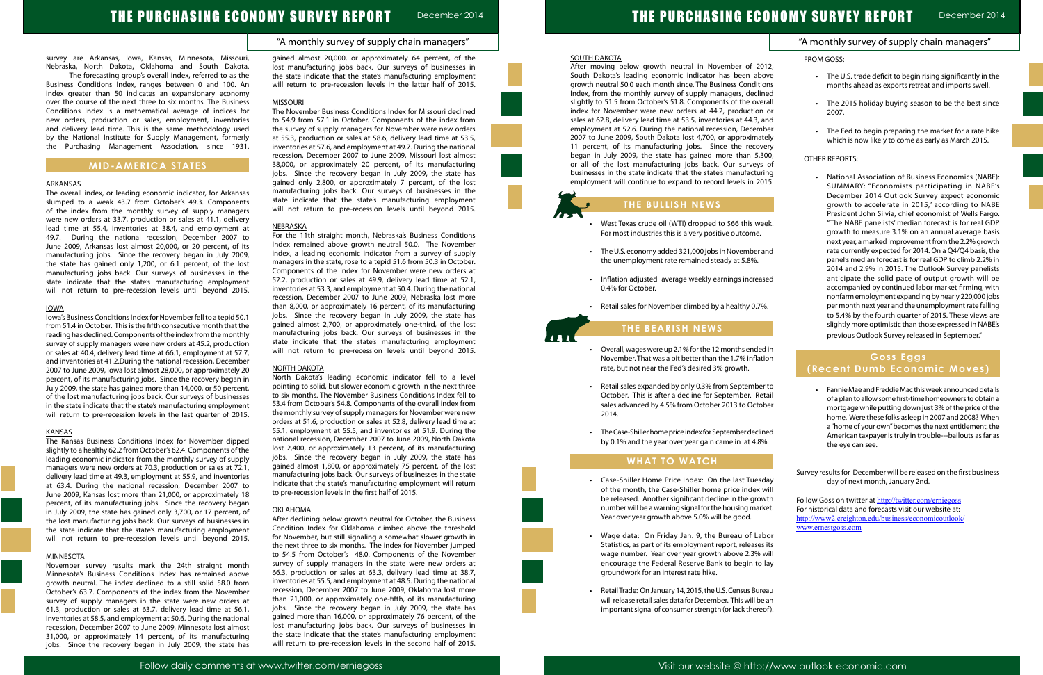# THE PURCHASING ECON

## "A monthly survey of supply chain managers"

survey are Arkansas, Iowa, Kansas, Minnesota, Missouri, Nebraska, North Dakota, Oklahoma and South Dakota.

 The forecasting group's overall index, referred to as the Business Conditions Index, ranges between 0 and 100. An index greater than 50 indicates an expansionary economy over the course of the next three to six months. The Business Conditions Index is a mathematical average of indices for new orders, production or sales, employment, inventories and delivery lead time. This is the same methodology used by the National Institute for Supply Management, formerly the Purchasing Management Association, since 1931.

## **MID-AMERICA STATES**

#### ARKANSAS

The overall index, or leading economic indicator, for Arkansas slumped to a weak 43.7 from October's 49.3. Components of the index from the monthly survey of supply managers were new orders at 33.7, production or sales at 41.1, delivery lead time at 55.4, inventories at 38.4, and employment at 49.7. During the national recession, December 2007 to June 2009, Arkansas lost almost 20,000, or 20 percent, of its manufacturing jobs. Since the recovery began in July 2009, the state has gained only 1,200, or 6.1 percent, of the lost manufacturing jobs back. Our surveys of businesses in the state indicate that the state's manufacturing employment will not return to pre-recession levels until beyond 2015.

#### IOWA

Iowa's Business Conditions Index for November fell to a tepid 50.1 from 51.4 in October. This is the fifth consecutive month that the reading has declined. Components of the index from the monthly survey of supply managers were new orders at 45.2, production or sales at 40.4, delivery lead time at 66.1, employment at 57.7, and inventories at 41.2.During the national recession, December 2007 to June 2009, Iowa lost almost 28,000, or approximately 20 percent, of its manufacturing jobs. Since the recovery began in July 2009, the state has gained more than 14,000, or 50 percent, of the lost manufacturing jobs back. Our surveys of businesses in the state indicate that the state's manufacturing employment will return to pre-recession levels in the last quarter of 2015.

#### KANSAS

The Kansas Business Conditions Index for November dipped slightly to a healthy 62.2 from October's 62.4. Components of the leading economic indicator from the monthly survey of supply managers were new orders at 70.3, production or sales at 72.1, delivery lead time at 49.3, employment at 55.9, and inventories at 63.4. During the national recession, December 2007 to June 2009, Kansas lost more than 21,000, or approximately 18 percent, of its manufacturing jobs. Since the recovery began in July 2009, the state has gained only 3,700, or 17 percent, of the lost manufacturing jobs back. Our surveys of businesses in the state indicate that the state's manufacturing employment will not return to pre-recession levels until beyond 2015.

#### **MINNESOTA**

November survey results mark the 24th straight month Minnesota's Business Conditions Index has remained above growth neutral. The index declined to a still solid 58.0 from October's 63.7. Components of the index from the November survey of supply managers in the state were new orders at 61.3, production or sales at 63.7, delivery lead time at 56.1, inventories at 58.5, and employment at 50.6. During the national recession, December 2007 to June 2009, Minnesota lost almost 31,000, or approximately 14 percent, of its manufacturing jobs. Since the recovery began in July 2009, the state has gained almost 20,000, or approximately 64 percent, of the lost manufacturing jobs back. Our surveys of businesses in the state indicate that the state's manufacturing employment will return to pre-recession levels in the latter half of 2015.

#### <u>MISSOURI</u>

- West Texas crude oil (WTI) dropped to \$66 this week. For most industries this is a very positive outcome.
- • The U.S. economy added 321,000 jobs in November and the unemployment rate remained steady at 5.8%.
- • Inflation adjusted average weekly earnings increased 0.4% for October.
- • Retail sales for November climbed by a healthy 0.7%.

The November Business Conditions Index for Missouri declined to 54.9 from 57.1 in October. Components of the index from the survey of supply managers for November were new orders at 55.3, production or sales at 58.6, delivery lead time at 53.5, inventories at 57.6, and employment at 49.7. During the national recession, December 2007 to June 2009, Missouri lost almost 38,000, or approximately 20 percent, of its manufacturing jobs. Since the recovery began in July 2009, the state has gained only 2,800, or approximately 7 percent, of the lost manufacturing jobs back. Our surveys of businesses in the state indicate that the state's manufacturing employment will not return to pre-recession levels until beyond 2015.

- Overall, wages were up 2.1% for the 12 months ended in November. That was a bit better than the 1.7% inflation rate, but not near the Fed's desired 3% growth.
- Retail sales expanded by only 0.3% from September to October. This is after a decline for September. Retail sales advanced by 4.5% from October 2013 to October 2014.
- • The Case-Shiller home price index for September declined by 0.1% and the year over year gain came in at 4.8%.

- • Case-Shiller Home Price Index: On the last Tuesday of the month, the Case-Shiller home price index will be released. Another significant decline in the growth number will be a warning signal for the housing market. Year over year growth above 5.0% will be good.
- • Wage data: On Friday Jan. 9, the Bureau of Labor Statistics, as part of its employment report, releases its wage number. Year over year growth above 2.3% will encourage the Federal Reserve Bank to begin to lay groundwork for an interest rate hike.
- • Retail Trade: On January 14, 2015, the U.S. Census Bureau will release retail sales data for December. This will be an important signal of consumer strength (or lack thereof).

#### NEBRASKA

For the 11th straight month, Nebraska's Business Conditions Index remained above growth neutral 50.0. The November index, a leading economic indicator from a survey of supply managers in the state, rose to a tepid 51.6 from 50.3 in October. Components of the index for November were new orders at 52.2, production or sales at 49.9, delivery lead time at 52.1, inventories at 53.3, and employment at 50.4. During the national recession, December 2007 to June 2009, Nebraska lost more than 8,000, or approximately 16 percent, of its manufacturing jobs. Since the recovery began in July 2009, the state has gained almost 2,700, or approximately one-third, of the lost manufacturing jobs back. Our surveys of businesses in the state indicate that the state's manufacturing employment will not return to pre-recession levels until beyond 2015.

#### NORTH DAKOTA

|                       | <b>OMY SURVEY REPORT</b>                                                                                                                                                                                                                                                                                                                                                                                                                                                                                                                                                                                                                                                                                                                                                                                                                                                                                                                                                                                                 | December 201 |
|-----------------------|--------------------------------------------------------------------------------------------------------------------------------------------------------------------------------------------------------------------------------------------------------------------------------------------------------------------------------------------------------------------------------------------------------------------------------------------------------------------------------------------------------------------------------------------------------------------------------------------------------------------------------------------------------------------------------------------------------------------------------------------------------------------------------------------------------------------------------------------------------------------------------------------------------------------------------------------------------------------------------------------------------------------------|--------------|
|                       | "A monthly survey of supply chain managers"                                                                                                                                                                                                                                                                                                                                                                                                                                                                                                                                                                                                                                                                                                                                                                                                                                                                                                                                                                              |              |
| <b>FROM GOSS:</b>     |                                                                                                                                                                                                                                                                                                                                                                                                                                                                                                                                                                                                                                                                                                                                                                                                                                                                                                                                                                                                                          |              |
|                       | The U.S. trade deficit to begin rising significantly in the<br>months ahead as exports retreat and imports swell.                                                                                                                                                                                                                                                                                                                                                                                                                                                                                                                                                                                                                                                                                                                                                                                                                                                                                                        |              |
|                       | The 2015 holiday buying season to be the best since<br>2007.                                                                                                                                                                                                                                                                                                                                                                                                                                                                                                                                                                                                                                                                                                                                                                                                                                                                                                                                                             |              |
|                       | The Fed to begin preparing the market for a rate hike<br>which is now likely to come as early as March 2015.                                                                                                                                                                                                                                                                                                                                                                                                                                                                                                                                                                                                                                                                                                                                                                                                                                                                                                             |              |
| <b>OTHER REPORTS:</b> |                                                                                                                                                                                                                                                                                                                                                                                                                                                                                                                                                                                                                                                                                                                                                                                                                                                                                                                                                                                                                          |              |
|                       | National Association of Business Economics (NABE):<br>SUMMARY: "Economists participating in NABE's<br>December 2014 Outlook Survey expect economic<br>growth to accelerate in 2015," according to NABE<br>President John Silvia, chief economist of Wells Fargo.<br>"The NABE panelists' median forecast is for real GDP<br>growth to measure 3.1% on an annual average basis<br>next year, a marked improvement from the 2.2% growth<br>rate currently expected for 2014. On a Q4/Q4 basis, the<br>panel's median forecast is for real GDP to climb 2.2% in<br>2014 and 2.9% in 2015. The Outlook Survey panelists<br>anticipate the solid pace of output growth will be<br>accompanied by continued labor market firming, with<br>nonfarm employment expanding by nearly 220,000 jobs<br>per month next year and the unemployment rate falling<br>to 5.4% by the fourth quarter of 2015. These views are<br>slightly more optimistic than those expressed in NABE's<br>previous Outlook Survey released in September." |              |
|                       | <b>Goss Eggs</b>                                                                                                                                                                                                                                                                                                                                                                                                                                                                                                                                                                                                                                                                                                                                                                                                                                                                                                                                                                                                         |              |
|                       | (Recent Dumb Economic Moves)<br>Fannie Mae and Freddie Mac this week announced details<br>of a plan to allow some first-time homeowners to obtain a<br>mortgage while putting down just 3% of the price of the<br>home. Were these folks asleep in 2007 and 2008? When<br>a "home of your own" becomes the next entitlement, the<br>American taxpayer is truly in trouble---bailouts as far as<br>the eye can see.                                                                                                                                                                                                                                                                                                                                                                                                                                                                                                                                                                                                       |              |

Follow Goss on twitter at http://twitter.com/erniegoss For historical data and forecasts visit our website at: http://www2.creighton.edu/business/economicoutlook/ www.ernestgoss.com

North Dakota's leading economic indicator fell to a level pointing to solid, but slower economic growth in the next three to six months. The November Business Conditions Index fell to 53.4 from October's 54.8. Components of the overall index from the monthly survey of supply managers for November were new orders at 51.6, production or sales at 52.8, delivery lead time at 55.1, employment at 55.5, and inventories at 51.9. During the national recession, December 2007 to June 2009, North Dakota lost 2,400, or approximately 13 percent, of its manufacturing jobs. Since the recovery began in July 2009, the state has gained almost 1,800, or approximately 75 percent, of the lost manufacturing jobs back. Our surveys of businesses in the state indicate that the state's manufacturing employment will return to pre-recession levels in the first half of 2015.

#### OKLAHOMA

After declining below growth neutral for October, the Business Condition Index for Oklahoma climbed above the threshold for November, but still signaling a somewhat slower growth in the next three to six months. The index for November jumped to 54.5 from October's 48.0. Components of the November survey of supply managers in the state were new orders at 66.3, production or sales at 63.3, delivery lead time at 38.7, inventories at 55.5, and employment at 48.5. During the national recession, December 2007 to June 2009, Oklahoma lost more than 21,000, or approximately one-fifth, of its manufacturing jobs. Since the recovery began in July 2009, the state has gained more than 16,000, or approximately 76 percent, of the lost manufacturing jobs back. Our surveys of businesses in the state indicate that the state's manufacturing employment will return to pre-recession levels in the second half of 2015.



After moving below growth neutral in November of 2012, South Dakota's leading economic indicator has been above growth neutral 50.0 each month since. The Business Conditions Index, from the monthly survey of supply managers, declined slightly to 51.5 from October's 51.8. Components of the overall index for November were new orders at 44.2, production or sales at 62.8, delivery lead time at 53.5, inventories at 44.3, and employment at 52.6. During the national recession, December 2007 to June 2009, South Dakota lost 4,700, or approximately 11 percent, of its manufacturing jobs. Since the recovery began in July 2009, the state has gained more than 5,300, or all of the lost manufacturing jobs back. Our surveys of businesses in the state indicate that the state's manufacturing employment will continue to expand to record levels in 2015.

## **THE BULLISH NEWS**

## **THE BEARISH NEWS**

## **WHAT TO WATCH**

l

Ĩ

Survey results for December will be released on the first business day of next month, January 2nd.